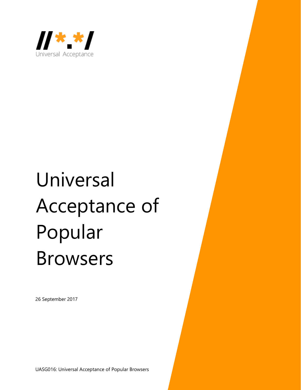

# Universal Acceptance of Popular Browsers

26 September 2017

UASG016: Universal Acceptance of Popular Browsers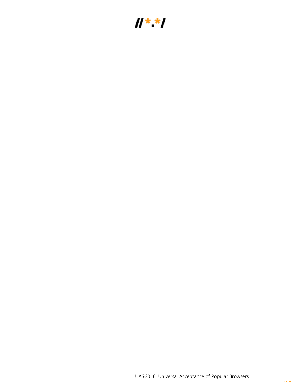# $\frac{1}{2}$   $\frac{1}{2}$   $\frac{1}{2}$   $\frac{1}{2}$   $\frac{1}{2}$   $\frac{1}{2}$   $\frac{1}{2}$   $\frac{1}{2}$   $\frac{1}{2}$   $\frac{1}{2}$   $\frac{1}{2}$   $\frac{1}{2}$   $\frac{1}{2}$   $\frac{1}{2}$   $\frac{1}{2}$   $\frac{1}{2}$   $\frac{1}{2}$   $\frac{1}{2}$   $\frac{1}{2}$   $\frac{1}{2}$   $\frac{1}{2}$   $\frac{1}{2}$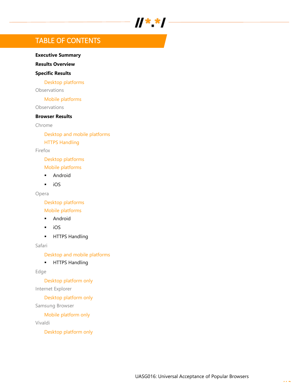# $|| * * |$

# TABLE OF CONTENTS

**[Executive Summary](#page-2-0)**

**[Results Overview](#page-4-0)**

#### **[Specific Results](#page-5-0)**

[Desktop platforms](#page-5-1)

[Observations](#page-6-0)

[Mobile platforms](#page-7-0)

[Observations](#page-8-0)

#### **[Browser Results](#page-8-1)**

[Chrome](#page-8-2)

[Desktop and mobile platforms](#page-8-3)

[HTTPS Handling](#page-8-4)

[Firefox](#page-8-5)

[Desktop platforms](#page-8-6)

[Mobile platforms](#page-8-7)

- [Android](#page-8-8)
- [iOS](#page-8-9)

[Opera](#page-9-0)

[Desktop platforms](#page-9-1)

[Mobile platforms](#page-9-2)

- [Android](#page-9-3)
- [iOS](#page-9-4)
- **■** [HTTPS Handling](#page-9-5)

[Safari](#page-9-6)

[Desktop and mobile platforms](#page-9-7)

**■** [HTTPS Handling](#page-9-8)

[Edge](#page-10-0)

[Desktop platform only](#page-10-1)

[Internet Explorer](#page-10-2)

[Desktop platform only](#page-10-3)

[Samsung Browser](#page-10-4)

[Mobile platform only](#page-10-5)

[Vivaldi](#page-10-6)

<span id="page-2-0"></span>[Desktop platform only](#page-10-7)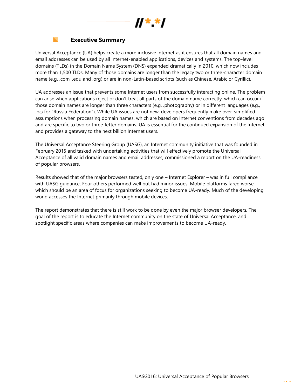

#### $\mathbf{N}$ **Executive Summary**

Universal Acceptance (UA) helps create a more inclusive Internet as it ensures that all domain names and email addresses can be used by all Internet-enabled applications, devices and systems. The top-level domains (TLDs) in the Domain Name System (DNS) expanded dramatically in 2010, which now includes more than 1,500 TLDs. Many of those domains are longer than the legacy two or three-character domain name (e.g. .com, .edu and .org) or are in non-Latin-based scripts (such as Chinese, Arabic or Cyrillic).

UA addresses an issue that prevents some Internet users from successfully interacting online. The problem can arise when applications reject or don't treat all parts of the domain name correctly, which can occur if those domain names are longer than three characters (e.g. .photography) or in different languages (e.g., .рф for "Russia Federation"). While UA issues are not new, developers frequently make over-simplified assumptions when processing domain names, which are based on Internet conventions from decades ago and are specific to two or three-letter domains. UA is essential for the continued expansion of the Internet and provides a gateway to the next billion Internet users.

The Universal Acceptance Steering Group (UASG), an Internet community initiative that was founded in February 2015 and tasked with undertaking activities that will effectively promote the Universal Acceptance of all valid domain names and email addresses, commissioned a report on the UA-readiness of popular browsers.

Results showed that of the major browsers tested, only one – Internet Explorer – was in full compliance with UASG guidance. Four others performed well but had minor issues. Mobile platforms fared worse which should be an area of focus for organizations seeking to become UA-ready. Much of the developing world accesses the Internet primarily through mobile devices.

The report demonstrates that there is still work to be done by even the major browser developers. The goal of the report is to educate the Internet community on the state of Universal Acceptance, and spotlight specific areas where companies can make improvements to become UA-ready.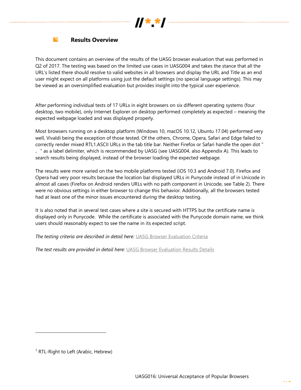

#### <span id="page-4-0"></span> $\mathbf{r}$ **Results Overview**

This document contains an overview of the results of the UASG browser evaluation that was performed in Q2 of 2017. The testing was based on the limited use cases in UASG004 and takes the stance that all the URL's listed there should resolve to valid websites in all browsers and display the URL and Title as an end user might expect on all platforms using just the default settings (no special language settings). This may be viewed as an oversimplified evaluation but provides insight into the typical user experience.

After performing individual tests of 17 URLs in eight browsers on six different operating systems (four desktop, two mobile), only Internet Explorer on desktop performed completely as expected – meaning the expected webpage loaded and was displayed properly.

Most browsers running on a desktop platform (Windows 10, macOS 10.12, Ubuntu 17.04) performed very well, Vivaldi being the exception of those tested. Of the others, Chrome, Opera, Safari and Edge failed to correctly render mixed RTL1.ASCII URLs in the tab title bar. Neither Firefox or Safari handle the open dot " 。" as a label delimiter, which is recommended by UASG (see [UASG004,](https://uasg.tech/wp-content/uploads/2017/05/UASG004-Use-Cases-for-UA-Readiness-Evaluation-2017-04-17.pdf) also Appendix A). This leads to search results being displayed, instead of the browser loading the expected webpage.

The results were more varied on the two mobile platforms tested (iOS 10.3 and Android 7.0). Firefox and Opera had very poor results because the location bar displayed URLs in Punycode instead of in Unicode in almost all cases (Firefox on Android renders URLs with no path component in Unicode, see Table 2). There were no obvious settings in either browser to change this behavior. Additionally, all the browsers tested had at least one of the minor issues encountered during the desktop testing.

It is also noted that in several test cases where a site is secured with HTTPS but the certificate name is displayed only in Punycode. While the certificate is associated with the Punycode domain name, we think users should reasonably expect to see the name in its expected script.

**The testing criteria are described in detail here:** UASG Browser Evaluation Criteria

*The test results are provided in detail here:* [UASG Browser Evaluation Results Details](https://docs.google.com/spreadsheets/d/1amwLhjSKcB18bONIC6aC47PNVjeb26eS09bqTTWvK10)

l

<sup>&</sup>lt;sup>1</sup> RTL-Right to Left (Arabic, Hebrew)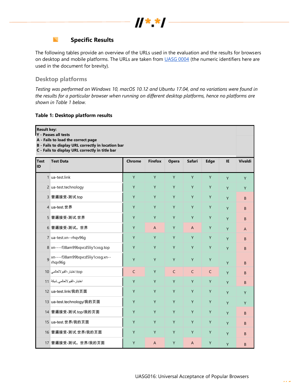

#### N **Specific Results**

<span id="page-5-0"></span>The following tables provide an overview of the URLs used in the evaluation and the results for browsers on desktop and mobile platforms. The URLs are taken from [UASG 0004](https://uasg.tech/wp-content/uploads/2017/05/UASG004-Use-Cases-for-UA-Readiness-Evaluation-2017-04-17.pdf) (the numeric identifiers here are used in the document for brevity).

#### <span id="page-5-1"></span>**Desktop platforms**

*Testing was performed on Windows 10, macOS 10.12 and Ubuntu 17.04, and no variations were found in the results for a particular browser when running on different desktop platforms, hence no platforms are shown in Table 1 below.*

#### **Table 1: Desktop platform results**

**Result key: Y - Passes all tests A - Fails to load the correct page B - Fails to display URL correctly in location bar C - Fails to display URL correctly in title bar Test ID Test Data Chrome Firefox Opera Safari Edge IE Vivaldi** 1 ua-test.link Y Y Y Y Y Y Y Y Y 2 ua-test.technology Y Y Y Y Y Y Y 3 普遍接受-测试.top Y Y Y Y Y Y Y Y A 4 ua-test.世界 Y Y Y Y <sub>Y</sub> <mark> <sub>B</sub></mark> 5 普遍接受-测试.世界 Y Y Y Y Y Y Y Y <mark>B</mark> 6 普遍接受-测试。世界 Y A Y A Y Y A 7 ua-test.xn--rhqv96g y Y Y Y Y Y Y Y <mark>y</mark> B 8 xn----f38am99bqvcd5liy1cxsg.top | Y | Y | Y | Y | Y | R 9 xn----f38am99bqvcd5liy1cxsg.xn- xii ibaanibbbqvcabiiyicxsg.xii y y y y y y y<br>rhqv96g y y y y y Y B 10 القبواللعالمي-اختبار.top C Y C C C Y B 11 شبكة.القبواللعالمي-اختبار Y Y Y Y Y Y B 12 ua-test.link/我的页面 Y Y Y Y Y Y Y Y 13 ua-test.technology/我的页面 Y Y Y Y Y Y Y Y Y 14 普遍接受-测试.top/我的页面 Y Y Y Y Y Y Y Y Y <mark>B</mark> 15 ua-test.世界/我的页面 Y Y Y Y Y Y Y Y 16 普遍接受-测试.世界/我的页面 Y Y Y Y <sub>Y</sub> <mark> B</mark> 17 普遍接受-测试。世界/我的页面 Y A Y <mark> A Y <sub>Y</sub> <sub>B</sub></mark>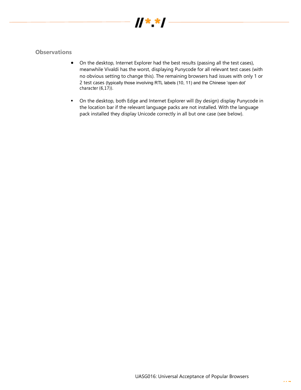

## <span id="page-6-0"></span>**Observations**

- On the desktop, Internet Explorer had the best results (passing all the test cases), meanwhile Vivaldi has the worst, displaying Punycode for all relevant test cases (with no obvious setting to change this). The remaining browsers had issues with only 1 or 2 test cases (typically those involving RTL labels (10, 11) and the Chinese 'open dot' character (6,17)).
- On the desktop, both Edge and Internet Explorer will (by design) display Punycode in the location bar if the relevant language packs are not installed. With the language pack installed they display Unicode correctly in all but one case (see below).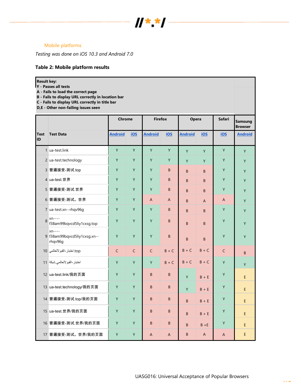

#### Mobile platforms

<span id="page-7-0"></span>*Testing was done on iOS 10.3 and Android 7.0* 

#### **Table 2: Mobile platform results**

#### **Result key:**

- **Y - Passes all tests**
- **A - Fails to load the correct page**
- **B - Fails to display URL correctly in location bar**
- **C - Fails to display URL correctly in title bar**
- **D,E - Other non-failing issues seen**

|                   |                                                    | <b>Chrome</b>  |              | <b>Firefox</b> |         | Opera          |         | <b>Safari</b> | <b>Samsung</b><br><b>Browser</b> |
|-------------------|----------------------------------------------------|----------------|--------------|----------------|---------|----------------|---------|---------------|----------------------------------|
| <b>Test</b><br>ID | <b>Test Data</b>                                   | <b>Android</b> | iOS          | <b>Android</b> | iOS     | <b>Android</b> | iOS     | iOS           | <b>Android</b>                   |
|                   | 1 ua-test.link                                     | Y              | Y            | Y              | Y       | Y              | Y       | Y             | Y                                |
|                   | 2 ua-test.technology                               | Y              | Y            | Y              | Y       | Y              | Y       | Y             | Y                                |
|                   | 3 普遍接受-测试.top                                      | Y              | Y            | Y              | B       | B              | B       | Y             | Y                                |
|                   | 4 ua-test.世界                                       | Y              | Y            | Y              | B       | B              | B       | Y             | Y                                |
|                   | 5 普遍接受-测试.世界                                       | Y              | Y            | Y              | B       | B              | B       | Y             | Y                                |
|                   | 6 普遍接受-测试。世界                                       | Y              | Y            | A              | A       | B              | A       | A             | Y                                |
|                   | 7 ua-test.xn--rhqv96g                              | Y              | Y            | Y              | B       | B              | B       | Y             | Υ                                |
| 8                 | $xn---$<br>f38am99bqvcd5liy1cxsg.top               | Y              | Y            | Y              | B       | $\overline{B}$ | B       | Y             | Y                                |
|                   | $xn---$<br>9 f38am99bqvcd5liy1cxsg.xn--<br>rhqv96g | Y              | Y            | Y              | B       | B              | B       | Y             | Y                                |
|                   | top.اختبار-القبولالعالمي 10                        | $\mathsf{C}$   | $\mathsf{C}$ | $\mathsf{C}$   | $B + C$ | $B + C$        | $B + C$ | C             | B                                |
|                   | اختبار-القبولالعالمي شبكة 11                       | Y              | Y            | Y              | $B + C$ | $B + C$        | $B + C$ | Y             | Y                                |
|                   | 12 ua-test.link/我的页面                               | Y              | Y            | B              | B       | Y              | $B + E$ | Υ             | E                                |
|                   | 13 ua-test.technology/我的页面                         | Y              | Y            | B              | B       | Y              | $B + E$ | Υ             | E                                |
|                   | 14 普遍接受-测试.top/我的页面                                | Y              | Y            | B              | B       | B              | $B + E$ | Υ             | E                                |
|                   | 15 ua-test.世界/我的页面                                 | Y              | Y            | B              | B       | B              | $B + E$ | Y             | E                                |
|                   | 16 普遍接受-测试 世界/我的页面                                 | Y              | Y            | B              | B       | B              | $B + E$ | Υ             | E.                               |
|                   | 17 普遍接受-测试。世界/我的页面                                 | Y              | Y            | $\overline{A}$ | A       | B              | A       | A             | E                                |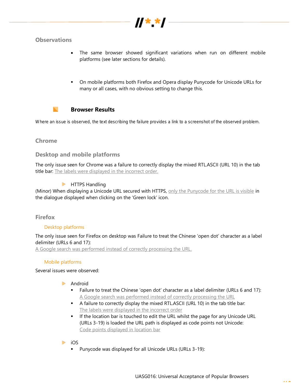

# <span id="page-8-0"></span>**Observations**

- The same browser showed significant variations when run on different mobile platforms (see later sections for details).
- On mobile platforms both Firefox and Opera display Punycode for Unicode URLs for many or all cases, with no obvious setting to change this.

**Browser Results**

<span id="page-8-1"></span>Where an issue is observed, the text describing the failure provides a link to a screenshot of the observed problem.

### <span id="page-8-2"></span>**Chrome**

N

#### <span id="page-8-3"></span>**Desktop and mobile platforms**

The only issue seen for Chrome was a failure to correctly display the mixed RTL.ASCII (URL 10) in the tab title bar: [The labels were displayed in the incorrect order.](https://drive.google.com/file/d/0Bz-xsxjtU5MtdWw2dm1rM2N3d2M/view)

**HTTPS Handling** 

<span id="page-8-4"></span>(Minor) When displaying a Unicode URL secured with HTTPS, [only the Punycode for the URL is visible](https://drive.google.com/file/d/0B5gNT4RRJ0xPSXRHVVpmbDlET3M/view) in the dialogue displayed when clicking on the 'Green lock' icon.

#### <span id="page-8-5"></span>**Firefox**

#### <span id="page-8-6"></span>Desktop platforms

The only issue seen for Firefox on desktop was Failure to treat the Chinese 'open dot' character as a label delimiter (URLs 6 and 17):

[A Google search was performed instead of correctly processing the URL.](https://drive.google.com/file/d/0Bz-xsxjtU5MtV0ZEbV9BNGRpdnM/view)

#### Mobile platforms

<span id="page-8-8"></span><span id="page-8-7"></span>Several issues were observed:

- **Android** 
	- **EXECT** Failure to treat the Chinese 'open dot' character as a label delimiter (URLs 6 and 17): [A Google search was performed instead of correctly processing the URL](https://drive.google.com/file/d/0B5gNT4RRJ0xPSXhtTFlOcEE4SzA/view)
	- A failure to correctly display the mixed RTL.ASCII (URL 10) in the tab title bar: [The labels were displayed in the incorrect order](https://drive.google.com/file/d/0B5gNT4RRJ0xPcFhzOHN2Rl9XY1E/view)
	- **.** If the location bar is touched to edit the URL whilst the page for any Unicode URL (URLs 3-19) is loaded the URL path is displayed as code points not Unicode: [Code points displayed in location bar](https://drive.google.com/file/d/0B5gNT4RRJ0xPN2FySF9lb0YySFk/view)
- <span id="page-8-9"></span>**iOS** 
	- Punycode was displayed for all Unicode URLs (URLs 3-19):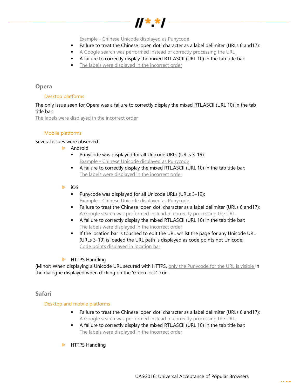

Example - Chinese Unicode [displayed as Punycode](https://drive.google.com/file/d/0B5gNT4RRJ0xPVUtXaGN1d2pFRlE/view)

- **EXECT** Failure to treat the Chinese 'open dot' character as a label delimiter (URLs 6 and 17):
- [A Google search was performed instead of correctly processing the URL](https://drive.google.com/file/d/0B5gNT4RRJ0xPc1RfZEdNYzlKU0k/view)
- A failure to correctly display the mixed RTL.ASCII (URL 10) in the tab title bar:
- [The labels were displayed in the incorrect order](https://drive.google.com/file/d/0B5gNT4RRJ0xPeURqWGFkVU55XzA/view)

#### <span id="page-9-1"></span><span id="page-9-0"></span>**Opera**

#### Desktop platforms

The only issue seen for Opera was a failure to correctly display the mixed RTL.ASCII (URL 10) in the tab title bar:

<span id="page-9-2"></span>[The labels were displayed in the incorrect order](https://drive.google.com/file/d/0Bz-xsxjtU5MtdWw2dm1rM2N3d2M/view)

#### Mobile platforms

#### <span id="page-9-3"></span>Several issues were observed:

- **Android** 
	- Punycode was displayed for all Unicode URLs (URLs 3-19): Example - Chinese Unicode [displayed as Punycode](https://drive.google.com/file/d/0B5gNT4RRJ0xPWXB3YnJadmpYTGM/view)
	- A failure to correctly display the mixed RTL.ASCII (URL 10) in the tab title bar: [The labels were displayed in the incorrect order](https://drive.google.com/file/d/0B5gNT4RRJ0xPQkRuTUdKdThLT2c/view)
- <span id="page-9-4"></span> $\blacktriangleright$  iOS
	- Punycode was displayed for all Unicode URLs (URLs 3-19): Example - Chinese Unicode [displayed as Punycode](https://drive.google.com/file/d/0B5gNT4RRJ0xPTl94WV9GX0w0c2s/view)
	- Failure to treat the Chinese 'open dot' character as a label delimiter (URLs 6 and17): [A Google search was performed instead of correctly processing the URL](https://drive.google.com/open?id=0B5gNT4RRJ0xPcjZuRUNkXzFsMFU)
	- A failure to correctly display the mixed RTL.ASCII (URL 10) in the tab title bar: [The labels were displayed in the incorrect order](https://drive.google.com/open?id=0B5gNT4RRJ0xPTGNFdUdTM3JNWUE)
	- **.** If the location bar is touched to edit the URL whilst the page for any Unicode URL (URLs 3-19) is loaded the URL path is displayed as code points not Unicode: [Code points displayed in location bar](https://drive.google.com/open?id=0B5gNT4RRJ0xPWGVLMXFMOU15RWM)
- **HTTPS Handling**

<span id="page-9-5"></span>(Minor) When displaying a Unicode URL secured with HTTPS, [only the Punycode for the URL is visible](https://drive.google.com/file/d/0B5gNT4RRJ0xPSXRHVVpmbDlET3M/view) in the dialogue displayed when clicking on the 'Green lock' icon.

#### <span id="page-9-7"></span><span id="page-9-6"></span>**Safari**

#### Desktop and mobile platforms

- Failure to treat the Chinese 'open dot' character as a label delimiter (URLs 6 and 17): [A Google search was performed instead of correctly](https://drive.google.com/open?id=0Bz-xsxjtU5MtZ2dRWTBpY2VpQXM) processing the URL
- A failure to correctly display the mixed RTL.ASCII (URL 10) in the tab title bar: [The labels were displayed in the incorrect order](https://drive.google.com/file/d/0Bz-xsxjtU5MtVlNkUmh5Sk45Ym8/view)
- <span id="page-9-8"></span>**HTTPS Handling**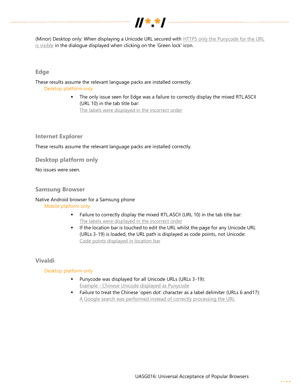

(Minor) Desktop only: When displaying a Unicode URL secured with HTTPS only the Punycode for the URL [is visible](https://drive.google.com/open?id=0B5gNT4RRJ0xPdkxKelo5OVNzekk) in the dialogue displayed when clicking on the 'Green lock' icon.

### <span id="page-10-0"></span>**Edge**

<span id="page-10-1"></span>These results assume the relevant language packs are installed correctly. Desktop platform only

> **•** The only issue seen for Edge was a failure to correctly display the mixed RTL.ASCII (URL 10) in the tab title bar: [The labels were displayed in the incorrect order](https://drive.google.com/open?id=0Bz-xsxjtU5MtdVJ6YVd2YTYybEk)

<span id="page-10-2"></span>**Internet Explorer**

<span id="page-10-3"></span>These results assume the relevant language packs are installed correctly.

**Desktop platform only**

No issues were seen.

#### <span id="page-10-4"></span>**Samsung Browser**

#### <span id="page-10-5"></span>Native Android browser for a Samsung phone

Mobile platform only

- Failure to correctly display the mixed RTL.ASCII (URL 10) in the tab title bar: [The labels were displayed in the incorrect order](https://drive.google.com/open?id=0B5gNT4RRJ0xPRkY5dVJEcG5zRk0)
- **.** If the location bar is touched to edit the URL whilst the page for any Unicode URL (URLs 3-19) is loaded, the URL path is displayed as code points, not Unicode: [Code points displayed in location bar](https://drive.google.com/open?id=0B5gNT4RRJ0xPVDBXeW5jbE1kSFU)

#### <span id="page-10-7"></span><span id="page-10-6"></span>**Vivaldi**

#### Desktop platform only

- Punycode was displayed for all Unicode URLs (URLs 3-19): Example - Chinese Unicode [displayed as Punycode](https://drive.google.com/open?id=0B5gNT4RRJ0xPbGI1ZmI1RFVrbHM)
- Failure to treat the Chinese 'open dot' character as a label delimiter (URLs 6 and 17): [A Google search was performed instead of correctly processing the URL](https://drive.google.com/open?id=0B5gNT4RRJ0xPdl8zSkpha0tNX28)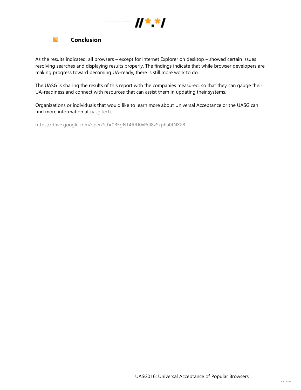

#### N **Conclusion**

As the results indicated, all browsers – except for Internet Explorer on desktop – showed certain issues resolving searches and displaying results properly. The findings indicate that while browser developers are making progress toward becoming UA-ready, there is still more work to do.

The UASG is sharing the results of this report with the companies measured, so that they can gauge their UA-readiness and connect with resources that can assist them in updating their systems.

Organizations or individuals that would like to learn more about Universal Acceptance or the UASG can find more information at [uasg.tech.](https://uasg.tech/)

<https://drive.google.com/open?id=0B5gNT4RRJ0xPdl8zSkpha0tNX28>